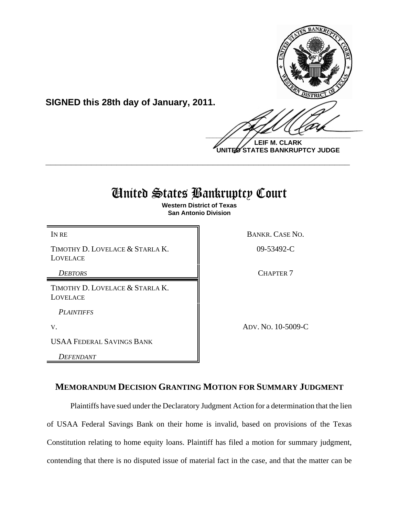

**UNITED STATES BANKRUPTCY JUDGE**

# United States Bankruptcy Court

**\_\_\_\_\_\_\_\_\_\_\_\_\_\_\_\_\_\_\_\_\_\_\_\_\_\_\_\_\_\_\_\_\_\_\_\_\_\_\_\_\_\_\_\_\_\_\_\_\_\_\_\_\_\_\_\_\_\_\_\_**

**Western District of Texas San Antonio Division**

TIMOTHY D. LOVELACE & STARLA K. LOVELACE

**SIGNED this 28th day of January, 2011.**

TIMOTHY D. LOVELACE & STARLA K. LOVELACE

*PLAINTIFFS*

USAA FEDERAL SAVINGS BANK

*DEFENDANT*

IN RE BANKR. CASE NO.

09-53492-C

**DEBTORS** CHAPTER 7

V. ADV. NO. 10-5009-C

## **MEMORANDUM DECISION GRANTING MOTION FOR SUMMARY JUDGMENT**

Plaintiffs have sued under the Declaratory Judgment Action for a determination that the lien of USAA Federal Savings Bank on their home is invalid, based on provisions of the Texas Constitution relating to home equity loans. Plaintiff has filed a motion for summary judgment, contending that there is no disputed issue of material fact in the case, and that the matter can be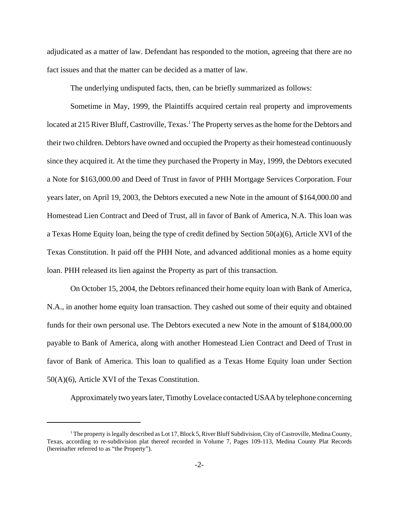adjudicated as a matter of law. Defendant has responded to the motion, agreeing that there are no fact issues and that the matter can be decided as a matter of law.

The underlying undisputed facts, then, can be briefly summarized as follows:

Sometime in May, 1999, the Plaintiffs acquired certain real property and improvements located at 215 River Bluff, Castroville, Texas.<sup>1</sup> The Property serves as the home for the Debtors and their two children. Debtors have owned and occupied the Property as their homestead continuously since they acquired it. At the time they purchased the Property in May, 1999, the Debtors executed a Note for \$163,000.00 and Deed of Trust in favor of PHH Mortgage Services Corporation. Four years later, on April 19, 2003, the Debtors executed a new Note in the amount of \$164,000.00 and Homestead Lien Contract and Deed of Trust, all in favor of Bank of America, N.A. This loan was a Texas Home Equity loan, being the type of credit defined by Section 50(a)(6), Article XVI of the Texas Constitution. It paid off the PHH Note, and advanced additional monies as a home equity loan. PHH released its lien against the Property as part of this transaction.

On October 15, 2004, the Debtors refinanced their home equity loan with Bank of America, N.A., in another home equity loan transaction. They cashed out some of their equity and obtained funds for their own personal use. The Debtors executed a new Note in the amount of \$184,000.00 payable to Bank of America, along with another Homestead Lien Contract and Deed of Trust in favor of Bank of America. This loan to qualified as a Texas Home Equity loan under Section 50(A)(6), Article XVI of the Texas Constitution.

Approximately two years later, Timothy Lovelace contacted USAA by telephone concerning

<sup>&</sup>lt;sup>1</sup> The property is legally described as Lot 17, Block 5, River Bluff Subdivision, City of Castroville, Medina County, Texas, according to re-subdivision plat thereof recorded in Volume 7, Pages 109-113, Medina County Plat Records (hereinafter referred to as "the Property").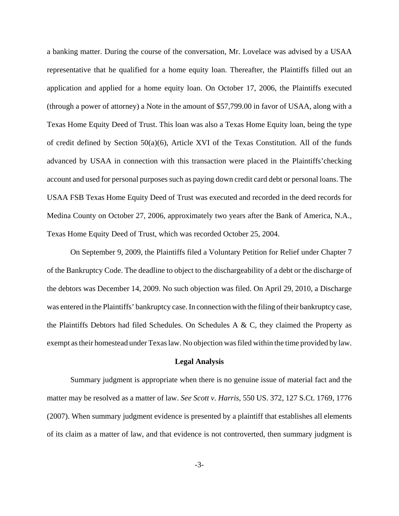a banking matter. During the course of the conversation, Mr. Lovelace was advised by a USAA representative that he qualified for a home equity loan. Thereafter, the Plaintiffs filled out an application and applied for a home equity loan. On October 17, 2006, the Plaintiffs executed (through a power of attorney) a Note in the amount of \$57,799.00 in favor of USAA, along with a Texas Home Equity Deed of Trust. This loan was also a Texas Home Equity loan, being the type of credit defined by Section  $50(a)(6)$ , Article XVI of the Texas Constitution. All of the funds advanced by USAA in connection with this transaction were placed in the Plaintiffs'checking account and used for personal purposes such as paying down credit card debt or personal loans. The USAA FSB Texas Home Equity Deed of Trust was executed and recorded in the deed records for Medina County on October 27, 2006, approximately two years after the Bank of America, N.A., Texas Home Equity Deed of Trust, which was recorded October 25, 2004.

On September 9, 2009, the Plaintiffs filed a Voluntary Petition for Relief under Chapter 7 of the Bankruptcy Code. The deadline to object to the dischargeability of a debt or the discharge of the debtors was December 14, 2009. No such objection was filed. On April 29, 2010, a Discharge was entered in the Plaintiffs' bankruptcy case. In connection with the filing of their bankruptcy case, the Plaintiffs Debtors had filed Schedules. On Schedules A & C, they claimed the Property as exempt as their homestead under Texas law. No objection was filed within the time provided by law.

#### **Legal Analysis**

Summary judgment is appropriate when there is no genuine issue of material fact and the matter may be resolved as a matter of law. *See Scott v. Harris*, 550 US. 372, 127 S.Ct. 1769, 1776 (2007). When summary judgment evidence is presented by a plaintiff that establishes all elements of its claim as a matter of law, and that evidence is not controverted, then summary judgment is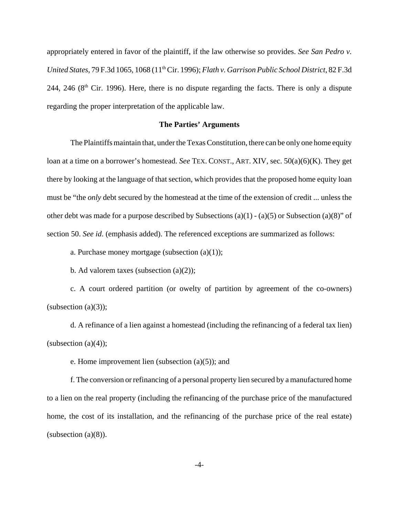appropriately entered in favor of the plaintiff, if the law otherwise so provides. *See San Pedro v. United States*, 79 F.3d 1065, 1068 (11th Cir. 1996); *Flath v. Garrison Public School District*, 82 F.3d 244, 246 ( $8<sup>th</sup>$  Cir. 1996). Here, there is no dispute regarding the facts. There is only a dispute regarding the proper interpretation of the applicable law.

#### **The Parties' Arguments**

The Plaintiffs maintain that, under the Texas Constitution, there can be only one home equity loan at a time on a borrower's homestead. *See* TEX. CONST., ART. XIV, sec. 50(a)(6)(K). They get there by looking at the language of that section, which provides that the proposed home equity loan must be "the *only* debt secured by the homestead at the time of the extension of credit ... unless the other debt was made for a purpose described by Subsections (a)(1) - (a)(5) or Subsection (a)(8)" of section 50. *See id*. (emphasis added). The referenced exceptions are summarized as follows:

a. Purchase money mortgage (subsection  $(a)(1)$ );

b. Ad valorem taxes (subsection  $(a)(2)$ );

c. A court ordered partition (or owelty of partition by agreement of the co-owners) (subsection  $(a)(3)$ );

d. A refinance of a lien against a homestead (including the refinancing of a federal tax lien) (subsection  $(a)(4)$ );

e. Home improvement lien (subsection (a)(5)); and

f. The conversion or refinancing of a personal property lien secured by a manufactured home to a lien on the real property (including the refinancing of the purchase price of the manufactured home, the cost of its installation, and the refinancing of the purchase price of the real estate)  $subsection (a)(8)$ ).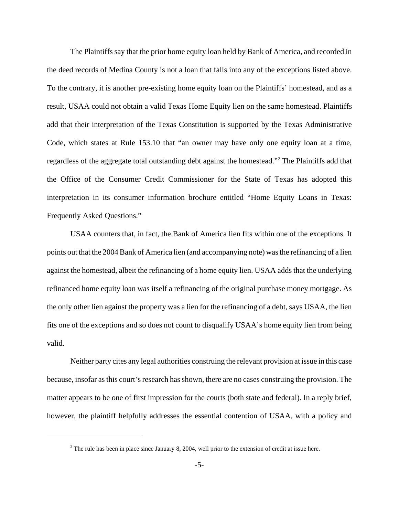The Plaintiffs say that the prior home equity loan held by Bank of America, and recorded in the deed records of Medina County is not a loan that falls into any of the exceptions listed above. To the contrary, it is another pre-existing home equity loan on the Plaintiffs' homestead, and as a result, USAA could not obtain a valid Texas Home Equity lien on the same homestead. Plaintiffs add that their interpretation of the Texas Constitution is supported by the Texas Administrative Code, which states at Rule 153.10 that "an owner may have only one equity loan at a time, regardless of the aggregate total outstanding debt against the homestead."<sup>2</sup> The Plaintiffs add that the Office of the Consumer Credit Commissioner for the State of Texas has adopted this interpretation in its consumer information brochure entitled "Home Equity Loans in Texas: Frequently Asked Questions."

USAA counters that, in fact, the Bank of America lien fits within one of the exceptions. It points out that the 2004 Bank of America lien (and accompanying note) was the refinancing of a lien against the homestead, albeit the refinancing of a home equity lien. USAA adds that the underlying refinanced home equity loan was itself a refinancing of the original purchase money mortgage. As the only other lien against the property was a lien for the refinancing of a debt, says USAA, the lien fits one of the exceptions and so does not count to disqualify USAA's home equity lien from being valid.

Neither party cites any legal authorities construing the relevant provision at issue in this case because, insofar as this court's research has shown, there are no cases construing the provision. The matter appears to be one of first impression for the courts (both state and federal). In a reply brief, however, the plaintiff helpfully addresses the essential contention of USAA, with a policy and

<sup>&</sup>lt;sup>2</sup> The rule has been in place since January 8, 2004, well prior to the extension of credit at issue here.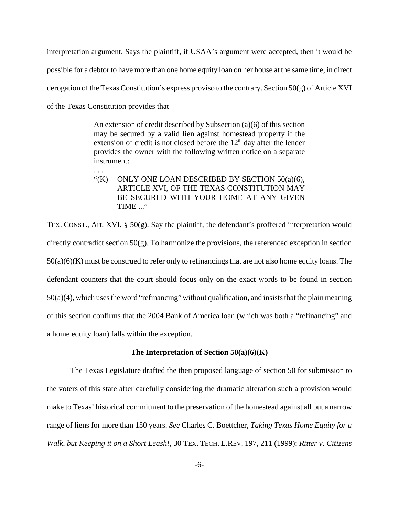interpretation argument. Says the plaintiff, if USAA's argument were accepted, then it would be possible for a debtor to have more than one home equity loan on her house at the same time, in direct derogation of the Texas Constitution's express proviso to the contrary. Section 50(g) of Article XVI of the Texas Constitution provides that

> An extension of credit described by Subsection (a)(6) of this section may be secured by a valid lien against homestead property if the extension of credit is not closed before the  $12<sup>th</sup>$  day after the lender provides the owner with the following written notice on a separate instrument:

. . .

" $(K)$  ONLY ONE LOAN DESCRIBED BY SECTION 50 $(a)(6)$ , ARTICLE XVI, OF THE TEXAS CONSTITUTION MAY BE SECURED WITH YOUR HOME AT ANY GIVEN TIME ..."

TEX. CONST., Art. XVI, § 50(g). Say the plaintiff, the defendant's proffered interpretation would directly contradict section 50(g). To harmonize the provisions, the referenced exception in section 50(a)(6)(K) must be construed to refer only to refinancings that are not also home equity loans. The defendant counters that the court should focus only on the exact words to be found in section 50(a)(4), which uses the word "refinancing" without qualification, and insists that the plain meaning of this section confirms that the 2004 Bank of America loan (which was both a "refinancing" and a home equity loan) falls within the exception.

### **The Interpretation of Section 50(a)(6)(K)**

The Texas Legislature drafted the then proposed language of section 50 for submission to the voters of this state after carefully considering the dramatic alteration such a provision would make to Texas' historical commitment to the preservation of the homestead against all but a narrow range of liens for more than 150 years. *See* Charles C. Boettcher, *Taking Texas Home Equity for a Walk, but Keeping it on a Short Leash!*, 30 TEX. TECH. L.REV. 197, 211 (1999); *Ritter v. Citizens*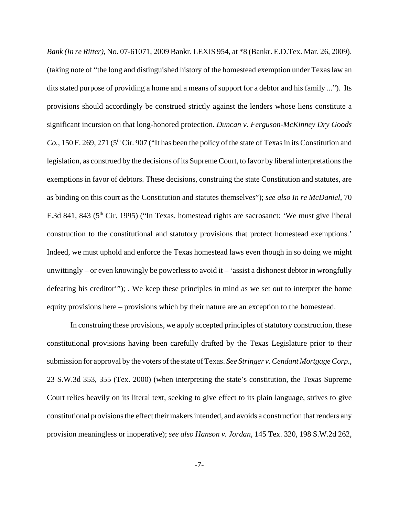*Bank (In re Ritter)*, No. 07-61071, 2009 Bankr. LEXIS 954, at \*8 (Bankr. E.D.Tex. Mar. 26, 2009). (taking note of "the long and distinguished history of the homestead exemption under Texas law an dits stated purpose of providing a home and a means of support for a debtor and his family ..."). Its provisions should accordingly be construed strictly against the lenders whose liens constitute a significant incursion on that long-honored protection. *Duncan v. Ferguson-McKinney Dry Goods Co.*, 150 F. 269, 271 (5<sup>th</sup> Cir. 907 ("It has been the policy of the state of Texas in its Constitution and legislation, as construed by the decisions of its Supreme Court, to favor by liberal interpretations the exemptions in favor of debtors. These decisions, construing the state Constitution and statutes, are as binding on this court as the Constitution and statutes themselves"); *see also In re McDaniel*, 70 F.3d 841, 843 (5<sup>th</sup> Cir. 1995) ("In Texas, homestead rights are sacrosanct: 'We must give liberal construction to the constitutional and statutory provisions that protect homestead exemptions.' Indeed, we must uphold and enforce the Texas homestead laws even though in so doing we might unwittingly – or even knowingly be powerless to avoid it – 'assist a dishonest debtor in wrongfully defeating his creditor'"); . We keep these principles in mind as we set out to interpret the home equity provisions here – provisions which by their nature are an exception to the homestead.

In construing these provisions, we apply accepted principles of statutory construction, these constitutional provisions having been carefully drafted by the Texas Legislature prior to their submission for approval by the voters of the state of Texas. *See Stringer v. Cendant Mortgage Corp*., 23 S.W.3d 353, 355 (Tex. 2000) (when interpreting the state's constitution, the Texas Supreme Court relies heavily on its literal text, seeking to give effect to its plain language, strives to give constitutional provisions the effect their makers intended, and avoids a construction that renders any provision meaningless or inoperative); *see also Hanson v. Jordan*, 145 Tex. 320, 198 S.W.2d 262,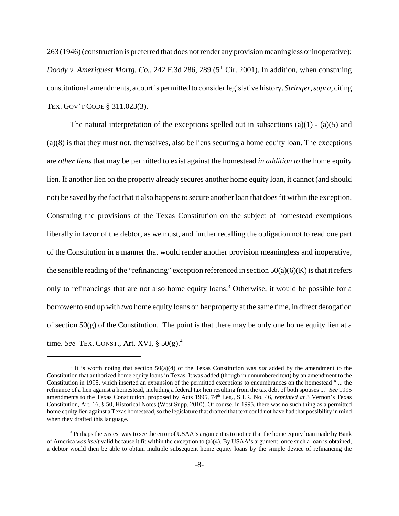263 (1946) (construction is preferred that does not render any provision meaningless or inoperative); *Doody v. Ameriquest Mortg. Co., 242 F.3d 286, 289 (5<sup>th</sup> Cir. 2001). In addition, when construing* constitutional amendments, a court is permitted to consider legislative history. *Stringer*, *supra*, citing TEX. GOV'T CODE § 311.023(3).

The natural interpretation of the exceptions spelled out in subsections  $(a)(1) - (a)(5)$  and (a)(8) is that they must not, themselves, also be liens securing a home equity loan. The exceptions are *other liens* that may be permitted to exist against the homestead *in addition to* the home equity lien. If another lien on the property already secures another home equity loan, it cannot (and should not) be saved by the fact that it also happens to secure another loan that does fit within the exception. Construing the provisions of the Texas Constitution on the subject of homestead exemptions liberally in favor of the debtor, as we must, and further recalling the obligation not to read one part of the Constitution in a manner that would render another provision meaningless and inoperative, the sensible reading of the "refinancing" exception referenced in section  $50(a)(6)(K)$  is that it refers only to refinancings that are not also home equity loans.<sup>3</sup> Otherwise, it would be possible for a borrower to end up with *two* home equity loans on her property at the same time, in direct derogation of section  $50(g)$  of the Constitution. The point is that there may be only one home equity lien at a time. *See* TEX. CONST., Art. XVI, § 50(g).4

<sup>3</sup> It is worth noting that section 50(a)(4) of the Texas Constitution was *not* added by the amendment to the Constitution that authorized home equity loans in Texas. It was added (though in unnumbered text) by an amendment to the Constitution in 1995, which inserted an expansion of the permitted exceptions to encumbrances on the homestead " ... the refinance of a lien against a homestead, including a federal tax lien resulting from the tax debt of both spouses ..." *See* 1995 amendments to the Texas Constitution, proposed by Acts 1995, 74<sup>th</sup> Leg., S.J.R. No. 46, *reprinted at* 3 Vernon's Texas Constitution, Art. 16, § 50, Historical Notes (West Supp. 2010). Of course, in 1995, there was no such thing as a permitted home equity lien against a Texas homestead, so the legislature that drafted that text could not have had that possibility in mind when they drafted this language.

<sup>&</sup>lt;sup>4</sup> Perhaps the easiest way to see the error of USAA's argument is to notice that the home equity loan made by Bank of America *was itself* valid because it fit within the exception to (a)(4). By USAA's argument, once such a loan is obtained, a debtor would then be able to obtain multiple subsequent home equity loans by the simple device of refinancing the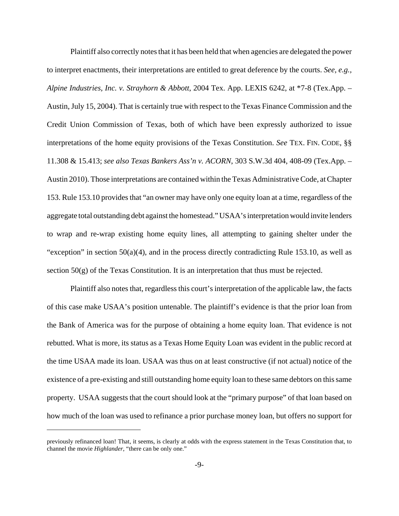Plaintiff also correctly notes that it has been held that when agencies are delegated the power to interpret enactments, their interpretations are entitled to great deference by the courts. *See, e.g., Alpine Industries, Inc. v. Strayhorn & Abbott*, 2004 Tex. App. LEXIS 6242, at \*7-8 (Tex.App. – Austin, July 15, 2004). That is certainly true with respect to the Texas Finance Commission and the Credit Union Commission of Texas, both of which have been expressly authorized to issue interpretations of the home equity provisions of the Texas Constitution. *See* TEX. FIN. CODE, §§ 11.308 & 15.413; *see also Texas Bankers Ass'n v. ACORN*, 303 S.W.3d 404, 408-09 (Tex.App. – Austin 2010). Those interpretations are contained within the Texas Administrative Code, at Chapter 153. Rule 153.10 provides that "an owner may have only one equity loan at a time, regardless of the aggregate total outstanding debt against the homestead." USAA's interpretation would invite lenders to wrap and re-wrap existing home equity lines, all attempting to gaining shelter under the "exception" in section  $50(a)(4)$ , and in the process directly contradicting Rule 153.10, as well as section  $50(g)$  of the Texas Constitution. It is an interpretation that thus must be rejected.

Plaintiff also notes that, regardless this court's interpretation of the applicable law, the facts of this case make USAA's position untenable. The plaintiff's evidence is that the prior loan from the Bank of America was for the purpose of obtaining a home equity loan. That evidence is not rebutted. What is more, its status as a Texas Home Equity Loan was evident in the public record at the time USAA made its loan. USAA was thus on at least constructive (if not actual) notice of the existence of a pre-existing and still outstanding home equity loan to these same debtors on this same property. USAA suggests that the court should look at the "primary purpose" of that loan based on how much of the loan was used to refinance a prior purchase money loan, but offers no support for

previously refinanced loan! That, it seems, is clearly at odds with the express statement in the Texas Constitution that, to channel the movie *Highlander*, "there can be only one."